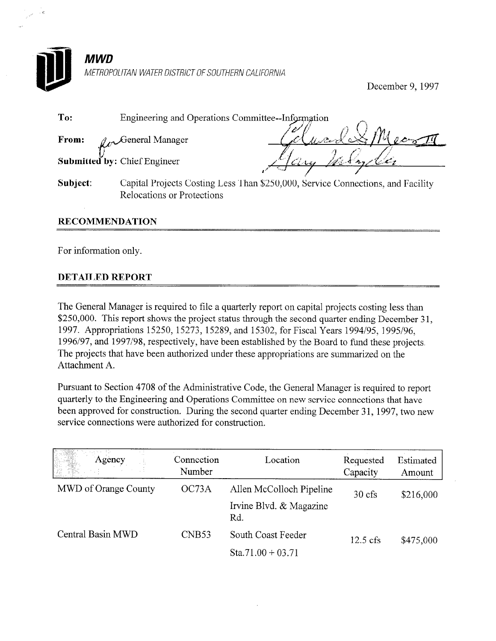

December 9, 1997

| To:      | Engineering and Operations Committee--Information |                                                                                 |  |  |
|----------|---------------------------------------------------|---------------------------------------------------------------------------------|--|--|
| From:    | $\mathcal{J}_{\ell\ell}$ General Manager          |                                                                                 |  |  |
|          | <b>Submitted by: Chief Engineer</b>               |                                                                                 |  |  |
| Subject: | Relocations or Protections                        | Capital Projects Costing Less Than \$250,000, Service Connections, and Facility |  |  |

### **RECOMMENDATION**

For information only.

### DETAILED REPORT

The General Manager is required to file a quarterly report on capital projects costing less than \$250,000. This report shows the project status through the second quarter ending December 31, 1997. Appropriations 15250, 15273, 15289, and 15302, for Fiscal Years 1994/95, 1995/96, 1996/97, and 1997/98, respectively, have been established by the Board to fund these projects, The projects that have been authorized under these appropriations are summarized on the Attachment A.

Pursuant to Section 4708 of the Administrative Code, the General Manager is required to report quarterly to the Engineering and Operations Committee on new service connections that have been approved for construction. During the second quarter ending December 31, 1997, two new service connections were authorized for construction.

| Agency<br>B              | Connection<br>Number | Location                       | Requested<br>Capacity | Estimated<br>Amount |
|--------------------------|----------------------|--------------------------------|-----------------------|---------------------|
| MWD of Orange County     | OC73A                | Allen McColloch Pipeline       | $30 \text{ cfs}$      | \$216,000           |
|                          |                      | Irvine Blvd. & Magazine<br>Rd. |                       |                     |
| <b>Central Basin MWD</b> | CNB <sub>53</sub>    | South Coast Feeder             | $12.5$ cfs            | \$475,000           |
|                          |                      | Sta.71.00 + 03.71              |                       |                     |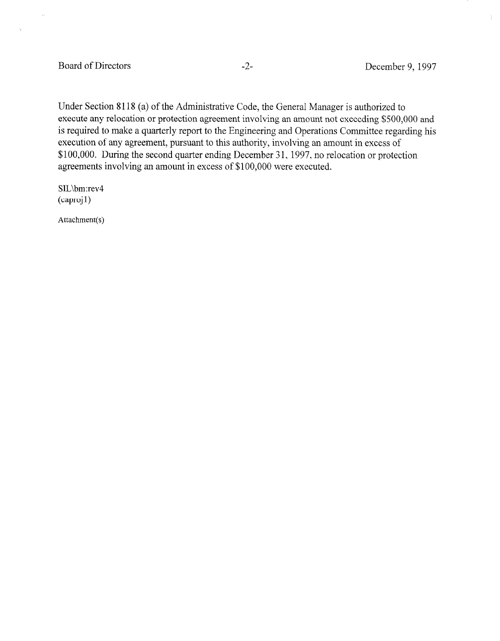Board of Directors -2- December 9, 1997

 $\tau_{\rm{g}}$ 

÷

Under Section 8 118 (a) of the Administrative Code, the General Manager is authorized to execute any relocation or protection agreement involving an amount not exceeding \$500,000 and is required to make a quarterly report to the Engineering and Operations Committee regarding his execution of any agreement, pursuant to this authority, involving an amount in excess of \$100,000. During the second quarter ending December 31, 1997, no relocation or protection agreements involving an amount in excess of \$100,000 were executed.

SIL\bm:rev4  $(caproj1)$ 

Attachment(s)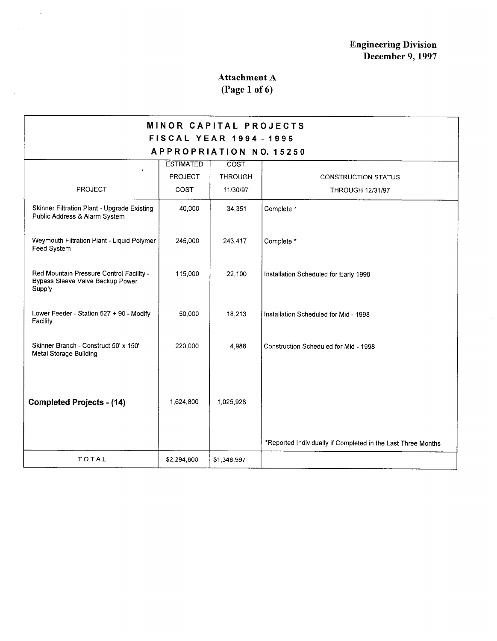$\bar{1}$ 

# Attachment A

 $\overline{a}$ 

 $\mathcal{L}$ 

 $\bar{z}$ 

(Page 1 of 6)

| MINOR CAPITAL PROJECTS<br><b>FISCAL YEAR 1994 - 1995</b>                               |                                    |                        |                                                              |  |  |
|----------------------------------------------------------------------------------------|------------------------------------|------------------------|--------------------------------------------------------------|--|--|
| APPROPRIATION NO. 15250                                                                |                                    |                        |                                                              |  |  |
|                                                                                        | <b>ESTIMATED</b><br><b>PROJECT</b> | COST<br><b>THROUGH</b> | <b>CONSTRUCTION STATUS</b>                                   |  |  |
| PROJECT                                                                                | COST                               | 11/30/97               | <b>THROUGH 12/31/97</b>                                      |  |  |
| Skinner Filtration Plant - Upgrade Existing<br>Public Address & Alarm System           | 40,000                             | 34,351                 | Complete *                                                   |  |  |
| Weymouth Filtration Plant - Liquid Polymer<br><b>Feed System</b>                       | 245,000                            | 243,417                | Complete *                                                   |  |  |
| Red Mountain Pressure Control Facility -<br>Bypass Sleeve Valve Backup Power<br>Supply | 115,000                            | 22,100                 | Installation Scheduled for Early 1998                        |  |  |
| Lower Feeder - Station 527 + 90 - Modify<br>Facility                                   | 50,000                             | 18,213                 | Installation Scheduled for Mid - 1998                        |  |  |
| Skinner Branch - Construct 50' x 150'<br>Metal Storage Building                        | 220,000                            | 4,988                  | Construction Scheduled for Mid - 1998                        |  |  |
| <b>Completed Projects - (14)</b>                                                       | 1,624,800                          | 1,025,928              |                                                              |  |  |
| <b>TOTAL</b>                                                                           | \$2,294,800                        | \$1,348,997            | *Reported Individually if Completed in the Last Three Months |  |  |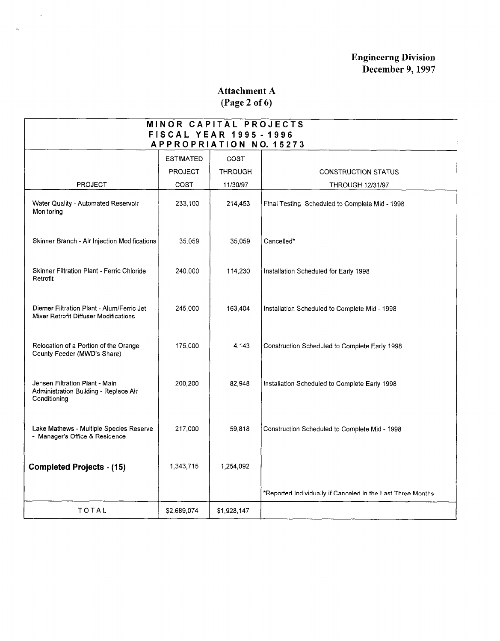### Engineerng Division December 9, 1997

# Attachment A (Page 2 of 6)

 $\hat{\mathcal{A}}$ 

 $\hat{\mathcal{A}}$ 

| MINOR CAPITAL PROJECTS                                                                  |                |                |                                                             |  |  |
|-----------------------------------------------------------------------------------------|----------------|----------------|-------------------------------------------------------------|--|--|
| <b>FISCAL YEAR 1995 - 1996</b><br><b>APPROPRIATION NO. 15273</b>                        |                |                |                                                             |  |  |
| <b>ESTIMATED</b><br>COST                                                                |                |                |                                                             |  |  |
|                                                                                         | <b>PROJECT</b> | <b>THROUGH</b> | <b>CONSTRUCTION STATUS</b>                                  |  |  |
| <b>PROJECT</b>                                                                          | COST           | 11/30/97       | <b>THROUGH 12/31/97</b>                                     |  |  |
| Water Quality - Automated Reservoir<br>Monitoring                                       | 233,100        | 214,453        | Final Testing Scheduled to Complete Mid - 1998              |  |  |
| Skinner Branch - Air Injection Modifications                                            | 35,059         | 35,059         | Cancelled*                                                  |  |  |
| Skinner Filtration Plant - Ferric Chloride<br>Retrofit                                  | 240,000        | 114,230        | Installation Scheduled for Early 1998                       |  |  |
| Diemer Filtration Plant - Alum/Ferric Jet<br>Mixer Retrofit Diffuser Modifications      | 245,000        | 163,404        | Installation Scheduled to Complete Mid - 1998               |  |  |
| Relocation of a Portion of the Orange<br>County Feeder (MWD's Share)                    | 175,000        | 4,143          | Construction Scheduled to Complete Early 1998               |  |  |
| Jensen Filtration Plant - Main<br>Administration Building - Replace Air<br>Conditioning | 200,200        | 82,948         | Installation Scheduled to Complete Early 1998               |  |  |
| Lake Mathews - Multiple Species Reserve<br>- Manager's Office & Residence               | 217,000        | 59,818         | Construction Scheduled to Complete Mid - 1998               |  |  |
| <b>Completed Projects - (15)</b>                                                        | 1,343,715      | 1,254,092      |                                                             |  |  |
|                                                                                         |                |                | *Reported Individually if Canceled in the Last Three Months |  |  |
| <b>TOTAL</b>                                                                            | \$2,689,074    | \$1,928,147    |                                                             |  |  |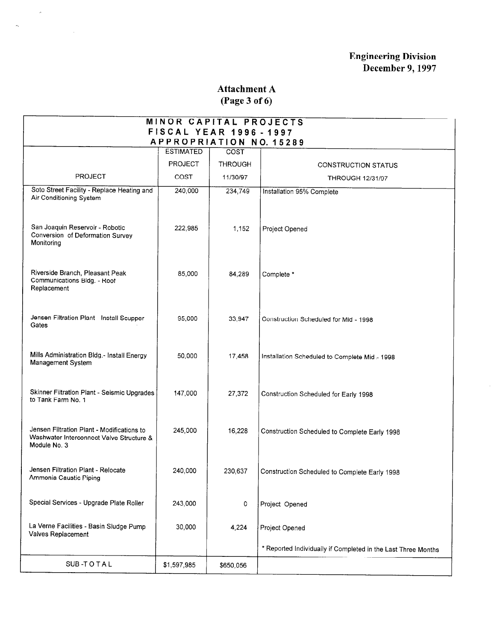### Engineering Divisio December 9,1997

### Attachment A (Page 3 of 6)

 $\bar{\mathcal{A}}$ 

 $\sim$   $\sim$ 

 $\hat{\theta}_\mathrm{V}$ 

| MINOR CAPITAL PROJECTS                                                                                 |                                                               |                |                                               |  |  |  |
|--------------------------------------------------------------------------------------------------------|---------------------------------------------------------------|----------------|-----------------------------------------------|--|--|--|
| <b>FISCAL YEAR 1996 - 1997</b><br>APPROPRIATION NO. 15289                                              |                                                               |                |                                               |  |  |  |
| <b>ESTIMATED</b><br>COST                                                                               |                                                               |                |                                               |  |  |  |
|                                                                                                        | <b>PROJECT</b>                                                | <b>THROUGH</b> | <b>CONSTRUCTION STATUS</b>                    |  |  |  |
| PROJECT                                                                                                | COST                                                          | 11/30/97       | <b>THROUGH 12/31/97</b>                       |  |  |  |
| Soto Street Facility - Replace Heating and<br>Air Conditioning System                                  | 240,000                                                       | 234,749        | Installation 95% Complete                     |  |  |  |
| San Joaquin Reservoir - Robotic<br>Conversion of Deformation Survey<br>Monitoring                      | 222,985                                                       | 1,152          | Project Opened                                |  |  |  |
| Riverside Branch, Pleasant Peak<br>Communications Bldg. - Roof<br>Replacement                          | 85,000                                                        | 84,289         | Complete *                                    |  |  |  |
| Jensen Filtration Plant - Install Scupper<br>Gates                                                     | 95,000                                                        | 33,947         | Construction Scheduled for Mid - 1998         |  |  |  |
| Mills Administration Bldg.- Install Energy<br>Management System                                        | 50,000                                                        | 17,458         | Installation Scheduled to Complete Mid - 1998 |  |  |  |
| Skinner Filtration Plant - Seismic Upgrades<br>to Tank Farm No. 1                                      | 147,000                                                       | 27,372         | Construction Scheduled for Early 1998         |  |  |  |
| Jensen Filtration Plant - Modifications to<br>Washwater Interconnect Valve Structure &<br>Module No. 3 | 245,000                                                       | 16,228         | Construction Scheduled to Complete Early 1998 |  |  |  |
| Jensen Filtration Plant - Relocate<br>Ammonia Caustic Piping                                           | 240,000                                                       | 230,637        | Construction Scheduled to Complete Early 1998 |  |  |  |
| Special Services - Upgrade Plate Roller                                                                | 243,000                                                       | 0              | Project Opened                                |  |  |  |
| La Verne Facilities - Basin Sludge Pump<br>Valves Replacement                                          | 30,000                                                        | 4,224          | Project Opened                                |  |  |  |
|                                                                                                        | * Reported Individually if Completed in the Last Three Months |                |                                               |  |  |  |
| SUB-TOTAL                                                                                              | \$1,597,985                                                   | \$650,056      |                                               |  |  |  |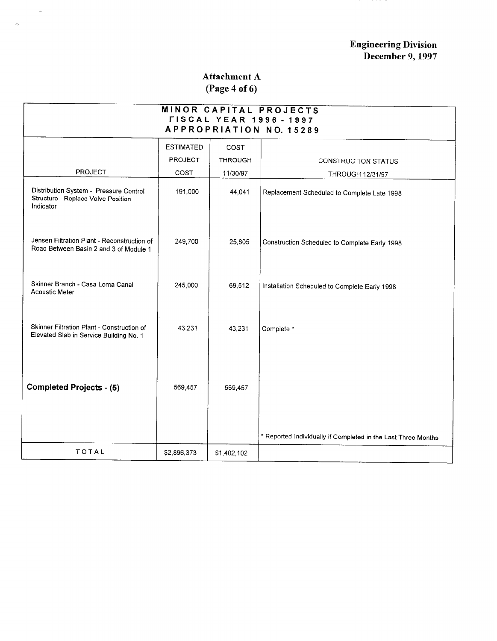$\frac{1}{2}$ 

# Attachment A (Page 4 of 6)

 $\lambda$ 

Ą

| MINOR CAPITAL PROJECTS<br><b>FISCAL YEAR 1996 - 1997</b><br>APPROPRIATION NO. 15289       |                  |                |                                                               |  |  |
|-------------------------------------------------------------------------------------------|------------------|----------------|---------------------------------------------------------------|--|--|
|                                                                                           | <b>ESTIMATED</b> | COST           |                                                               |  |  |
|                                                                                           | <b>PROJECT</b>   | <b>THROUGH</b> | <b>CONSTRUCTION STATUS</b>                                    |  |  |
| <b>PROJECT</b>                                                                            | COST             | 11/30/97       | THROUGH 12/31/97                                              |  |  |
| Distribution System - Pressure Control<br>Structure - Replace Valve Position<br>Indicator | 191,000          | 44,041         | Replacement Scheduled to Complete Late 1998                   |  |  |
| Jensen Filtration Plant - Reconstruction of<br>Road Between Basin 2 and 3 of Module 1     | 249,700          | 25,805         | Construction Scheduled to Complete Early 1998                 |  |  |
| Skinner Branch - Casa Loma Canal<br><b>Acoustic Meter</b>                                 | 245,000          | 69,512         | Installation Scheduled to Complete Early 1998                 |  |  |
| Skinner Filtration Plant - Construction of<br>Elevated Slab in Service Building No. 1     | 43,231           | 43,231         | Complete *                                                    |  |  |
| <b>Completed Projects - (5)</b>                                                           | 569,457          | 569,457        | * Reported Individually if Completed in the Last Three Months |  |  |
| TOTAL                                                                                     | \$2,896,373      | \$1,402,102    |                                                               |  |  |
|                                                                                           |                  |                |                                                               |  |  |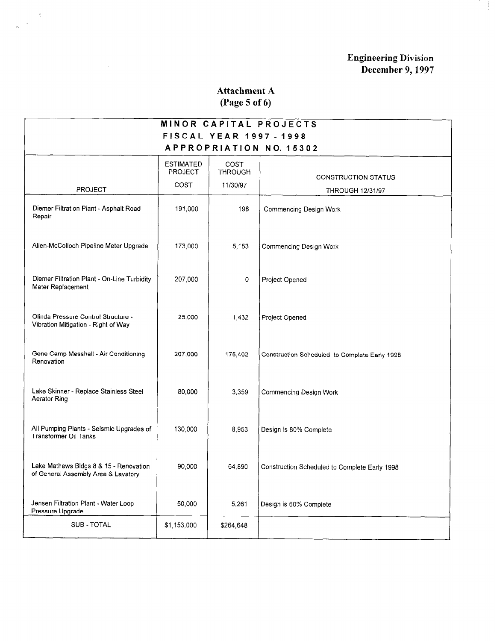**Engineering Divisio** December 9,1997

# Attachment A (Page 5 of 6)

 $\tilde{\mathbb{C}}$ 

 $\frac{1}{2}$ 

| MINOR CAPITAL PROJECTS                                                        |                                    |                        |                                               |  |  |
|-------------------------------------------------------------------------------|------------------------------------|------------------------|-----------------------------------------------|--|--|
| FISCAL YEAR 1997 - 1998<br><b>APPROPRIATION NO. 15302</b>                     |                                    |                        |                                               |  |  |
|                                                                               | <b>ESTIMATED</b><br><b>PROJECT</b> | COST<br><b>THROUGH</b> | <b>CONSTRUCTION STATUS</b>                    |  |  |
| PROJECT                                                                       | COST                               | 11/30/97               | <b>THROUGH 12/31/97</b>                       |  |  |
| Diemer Filtration Plant - Asphalt Road<br>Repair                              | 191,000                            | 198                    | Commencing Design Work                        |  |  |
| Allen-McColloch Pipeline Meter Upgrade                                        | 173,000                            | 5,153                  | Commencing Design Work                        |  |  |
| Diemer Filtration Plant - On-Line Turbidity<br>Meter Replacement              | 207,000                            | 0                      | Project Opened                                |  |  |
| Olinda Pressure Control Structure -<br>Vibration Mitigation - Right of Way    | 25,000                             | 1,432                  | Project Opened                                |  |  |
| Gene Camp Messhall - Air Conditioning<br>Renovation                           | 207,000                            | 175,402                | Construction Scheduled to Complete Early 1998 |  |  |
| Lake Skinner - Replace Stainless Steel<br><b>Aerator Ring</b>                 | 80,000                             | 3,359                  | Commencing Design Work                        |  |  |
| All Pumping Plants - Seismic Upgrades of<br><b>Transformer Oil Tanks</b>      | 130,000                            | 8,953                  | Design is 80% Complete                        |  |  |
| Lake Mathews Bldgs 8 & 15 - Renovation<br>of General Assembly Area & Lavatory | 90,000                             | 64,890                 | Construction Scheduled to Complete Early 1998 |  |  |
| Jensen Filtration Plant - Water Loop<br>Pressure Upgrade                      | 50,000                             | 5,261                  | Design is 60% Complete                        |  |  |
| SUB-TOTAL                                                                     | \$1,153,000                        | \$264,648              |                                               |  |  |